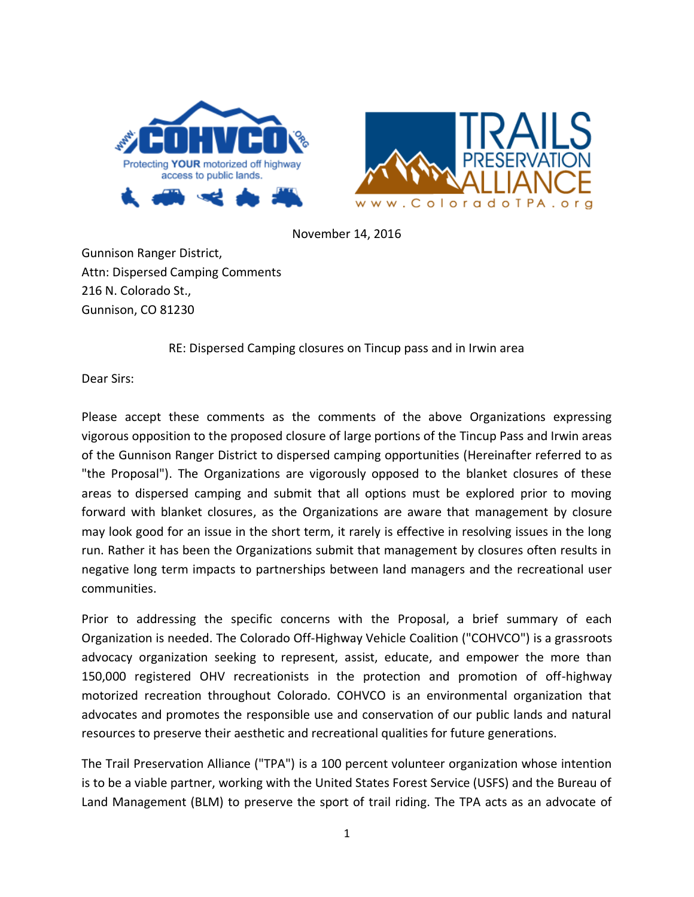



November 14, 2016

Gunnison Ranger District, Attn: Dispersed Camping Comments 216 N. Colorado St., Gunnison, CO 81230

RE: Dispersed Camping closures on Tincup pass and in Irwin area

Dear Sirs:

Please accept these comments as the comments of the above Organizations expressing vigorous opposition to the proposed closure of large portions of the Tincup Pass and Irwin areas of the Gunnison Ranger District to dispersed camping opportunities (Hereinafter referred to as "the Proposal"). The Organizations are vigorously opposed to the blanket closures of these areas to dispersed camping and submit that all options must be explored prior to moving forward with blanket closures, as the Organizations are aware that management by closure may look good for an issue in the short term, it rarely is effective in resolving issues in the long run. Rather it has been the Organizations submit that management by closures often results in negative long term impacts to partnerships between land managers and the recreational user communities.

Prior to addressing the specific concerns with the Proposal, a brief summary of each Organization is needed. The Colorado Off-Highway Vehicle Coalition ("COHVCO") is a grassroots advocacy organization seeking to represent, assist, educate, and empower the more than 150,000 registered OHV recreationists in the protection and promotion of off-highway motorized recreation throughout Colorado. COHVCO is an environmental organization that advocates and promotes the responsible use and conservation of our public lands and natural resources to preserve their aesthetic and recreational qualities for future generations.

The Trail Preservation Alliance ("TPA") is a 100 percent volunteer organization whose intention is to be a viable partner, working with the United States Forest Service (USFS) and the Bureau of Land Management (BLM) to preserve the sport of trail riding. The TPA acts as an advocate of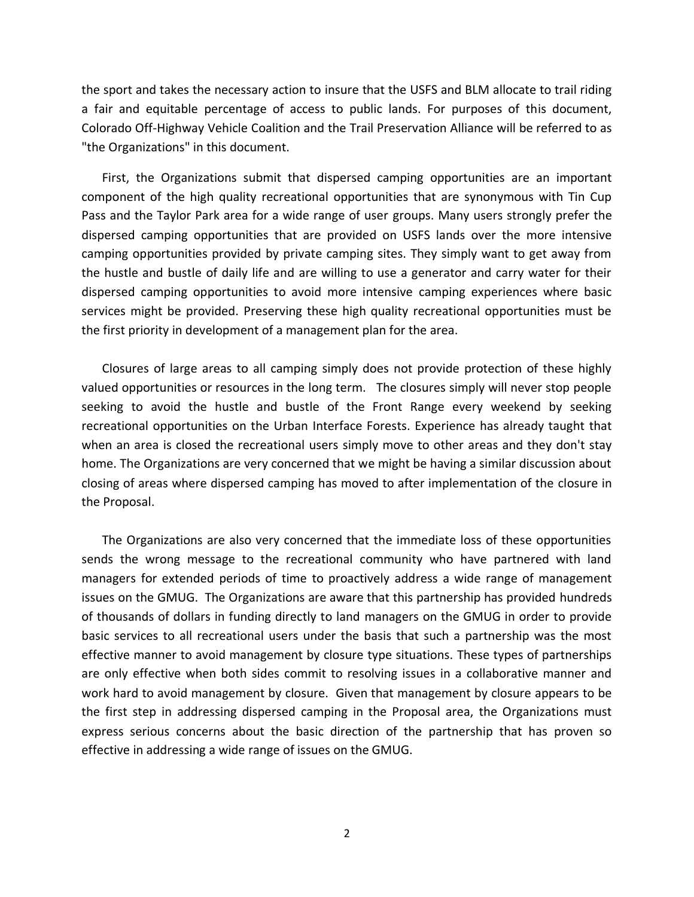the sport and takes the necessary action to insure that the USFS and BLM allocate to trail riding a fair and equitable percentage of access to public lands. For purposes of this document, Colorado Off-Highway Vehicle Coalition and the Trail Preservation Alliance will be referred to as "the Organizations" in this document.

First, the Organizations submit that dispersed camping opportunities are an important component of the high quality recreational opportunities that are synonymous with Tin Cup Pass and the Taylor Park area for a wide range of user groups. Many users strongly prefer the dispersed camping opportunities that are provided on USFS lands over the more intensive camping opportunities provided by private camping sites. They simply want to get away from the hustle and bustle of daily life and are willing to use a generator and carry water for their dispersed camping opportunities to avoid more intensive camping experiences where basic services might be provided. Preserving these high quality recreational opportunities must be the first priority in development of a management plan for the area.

Closures of large areas to all camping simply does not provide protection of these highly valued opportunities or resources in the long term. The closures simply will never stop people seeking to avoid the hustle and bustle of the Front Range every weekend by seeking recreational opportunities on the Urban Interface Forests. Experience has already taught that when an area is closed the recreational users simply move to other areas and they don't stay home. The Organizations are very concerned that we might be having a similar discussion about closing of areas where dispersed camping has moved to after implementation of the closure in the Proposal.

The Organizations are also very concerned that the immediate loss of these opportunities sends the wrong message to the recreational community who have partnered with land managers for extended periods of time to proactively address a wide range of management issues on the GMUG. The Organizations are aware that this partnership has provided hundreds of thousands of dollars in funding directly to land managers on the GMUG in order to provide basic services to all recreational users under the basis that such a partnership was the most effective manner to avoid management by closure type situations. These types of partnerships are only effective when both sides commit to resolving issues in a collaborative manner and work hard to avoid management by closure. Given that management by closure appears to be the first step in addressing dispersed camping in the Proposal area, the Organizations must express serious concerns about the basic direction of the partnership that has proven so effective in addressing a wide range of issues on the GMUG.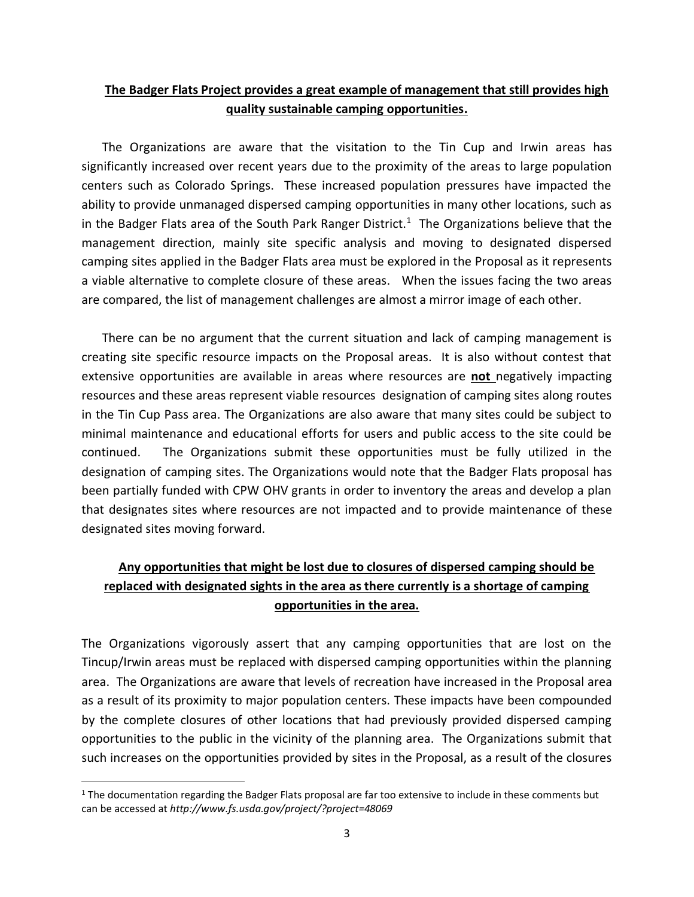## **The Badger Flats Project provides a great example of management that still provides high quality sustainable camping opportunities.**

The Organizations are aware that the visitation to the Tin Cup and Irwin areas has significantly increased over recent years due to the proximity of the areas to large population centers such as Colorado Springs. These increased population pressures have impacted the ability to provide unmanaged dispersed camping opportunities in many other locations, such as in the Badger Flats area of the South Park Ranger District.<sup>1</sup> The Organizations believe that the management direction, mainly site specific analysis and moving to designated dispersed camping sites applied in the Badger Flats area must be explored in the Proposal as it represents a viable alternative to complete closure of these areas. When the issues facing the two areas are compared, the list of management challenges are almost a mirror image of each other.

There can be no argument that the current situation and lack of camping management is creating site specific resource impacts on the Proposal areas. It is also without contest that extensive opportunities are available in areas where resources are **not** negatively impacting resources and these areas represent viable resources designation of camping sites along routes in the Tin Cup Pass area. The Organizations are also aware that many sites could be subject to minimal maintenance and educational efforts for users and public access to the site could be continued. The Organizations submit these opportunities must be fully utilized in the designation of camping sites. The Organizations would note that the Badger Flats proposal has been partially funded with CPW OHV grants in order to inventory the areas and develop a plan that designates sites where resources are not impacted and to provide maintenance of these designated sites moving forward.

## **Any opportunities that might be lost due to closures of dispersed camping should be replaced with designated sights in the area as there currently is a shortage of camping opportunities in the area.**

The Organizations vigorously assert that any camping opportunities that are lost on the Tincup/Irwin areas must be replaced with dispersed camping opportunities within the planning area. The Organizations are aware that levels of recreation have increased in the Proposal area as a result of its proximity to major population centers. These impacts have been compounded by the complete closures of other locations that had previously provided dispersed camping opportunities to the public in the vicinity of the planning area. The Organizations submit that such increases on the opportunities provided by sites in the Proposal, as a result of the closures

 $\overline{\phantom{a}}$ 

 $1$  The documentation regarding the Badger Flats proposal are far too extensive to include in these comments but can be accessed at *http://www.fs.usda.gov/project/?project=48069*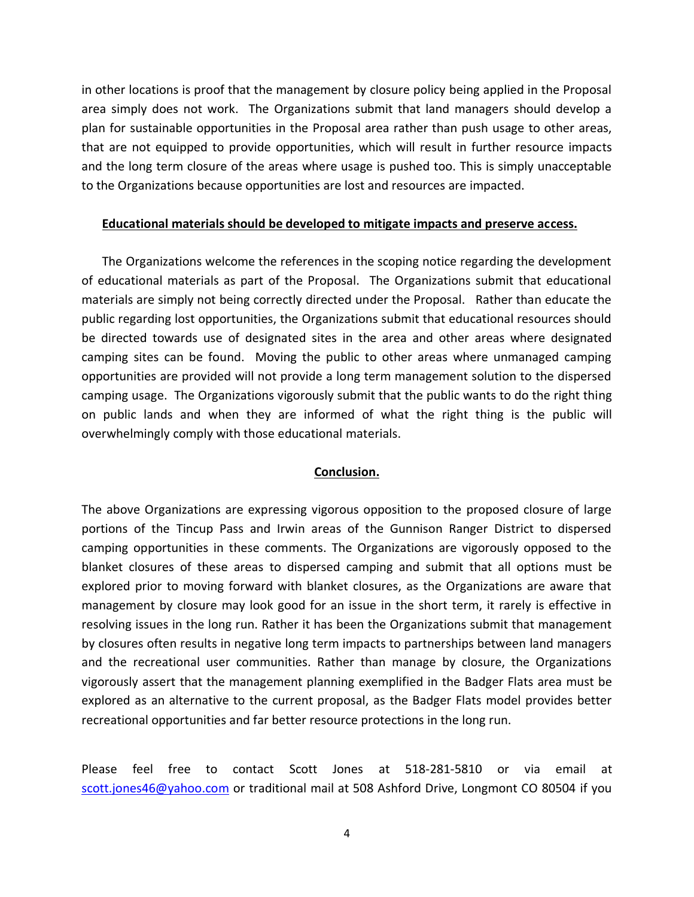in other locations is proof that the management by closure policy being applied in the Proposal area simply does not work. The Organizations submit that land managers should develop a plan for sustainable opportunities in the Proposal area rather than push usage to other areas, that are not equipped to provide opportunities, which will result in further resource impacts and the long term closure of the areas where usage is pushed too. This is simply unacceptable to the Organizations because opportunities are lost and resources are impacted.

## **Educational materials should be developed to mitigate impacts and preserve access.**

The Organizations welcome the references in the scoping notice regarding the development of educational materials as part of the Proposal. The Organizations submit that educational materials are simply not being correctly directed under the Proposal. Rather than educate the public regarding lost opportunities, the Organizations submit that educational resources should be directed towards use of designated sites in the area and other areas where designated camping sites can be found. Moving the public to other areas where unmanaged camping opportunities are provided will not provide a long term management solution to the dispersed camping usage. The Organizations vigorously submit that the public wants to do the right thing on public lands and when they are informed of what the right thing is the public will overwhelmingly comply with those educational materials.

## **Conclusion.**

The above Organizations are expressing vigorous opposition to the proposed closure of large portions of the Tincup Pass and Irwin areas of the Gunnison Ranger District to dispersed camping opportunities in these comments. The Organizations are vigorously opposed to the blanket closures of these areas to dispersed camping and submit that all options must be explored prior to moving forward with blanket closures, as the Organizations are aware that management by closure may look good for an issue in the short term, it rarely is effective in resolving issues in the long run. Rather it has been the Organizations submit that management by closures often results in negative long term impacts to partnerships between land managers and the recreational user communities. Rather than manage by closure, the Organizations vigorously assert that the management planning exemplified in the Badger Flats area must be explored as an alternative to the current proposal, as the Badger Flats model provides better recreational opportunities and far better resource protections in the long run.

Please feel free to contact Scott Jones at 518-281-5810 or via email at [scott.jones46@yahoo.com](mailto:scott.jones46@yahoo.com) or traditional mail at 508 Ashford Drive, Longmont CO 80504 if you